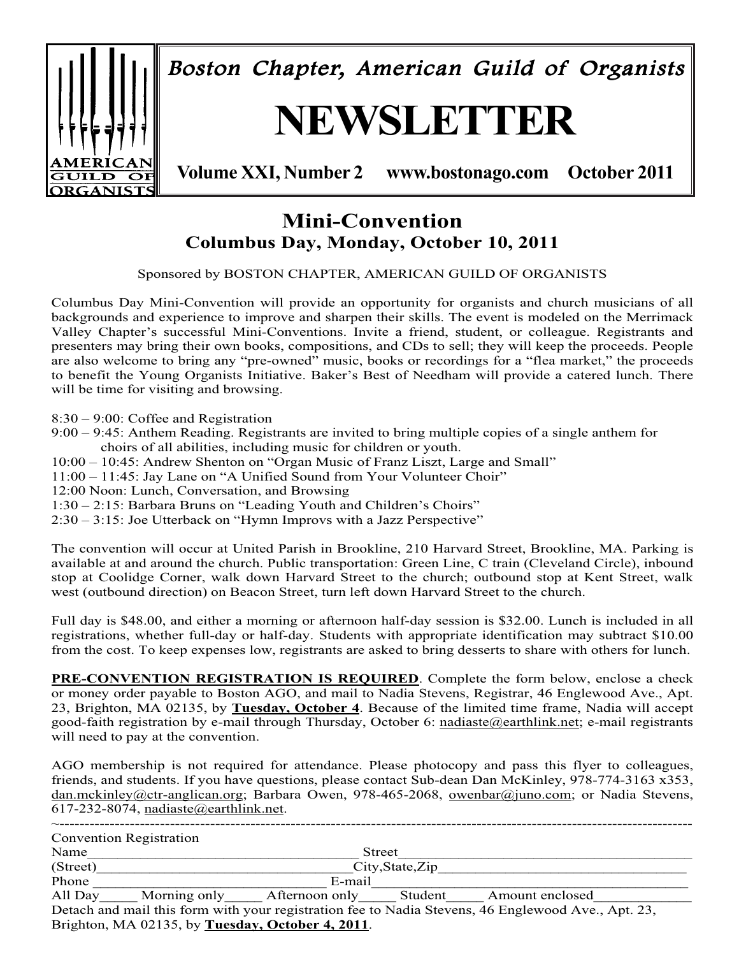

# **Mini-Convention Columbus Day, Monday, October 10, 2011**

#### Sponsored by BOSTON CHAPTER, AMERICAN GUILD OF ORGANISTS

Columbus Day Mini-Convention will provide an opportunity for organists and church musicians of all backgrounds and experience to improve and sharpen their skills. The event is modeled on the Merrimack Valley Chapter's successful Mini-Conventions. Invite a friend, student, or colleague. Registrants and presenters may bring their own books, compositions, and CDs to sell; they will keep the proceeds. People are also welcome to bring any "pre-owned" music, books or recordings for a "flea market," the proceeds to benefit the Young Organists Initiative. Baker's Best of Needham will provide a catered lunch. There will be time for visiting and browsing.

8:30 – 9:00: Coffee and Registration

- 9:00 9:45: Anthem Reading. Registrants are invited to bring multiple copies of a single anthem for choirs of all abilities, including music for children or youth.
- 10:00 10:45: Andrew Shenton on "Organ Music of Franz Liszt, Large and Small"
- 11:00 11:45: Jay Lane on "A Unified Sound from Your Volunteer Choir"
- 12:00 Noon: Lunch, Conversation, and Browsing
- 1:30 2:15: Barbara Bruns on "Leading Youth and Children's Choirs"
- 2:30 3:15: Joe Utterback on "Hymn Improvs with a Jazz Perspective"

The convention will occur at United Parish in Brookline, 210 Harvard Street, Brookline, MA. Parking is available at and around the church. Public transportation: Green Line, C train (Cleveland Circle), inbound stop at Coolidge Corner, walk down Harvard Street to the church; outbound stop at Kent Street, walk west (outbound direction) on Beacon Street, turn left down Harvard Street to the church.

Full day is \$48.00, and either a morning or afternoon half-day session is \$32.00. Lunch is included in all registrations, whether full-day or half-day. Students with appropriate identification may subtract \$10.00 from the cost. To keep expenses low, registrants are asked to bring desserts to share with others for lunch.

**PRE-CONVENTION REGISTRATION IS REQUIRED**. Complete the form below, enclose a check or money order payable to Boston AGO, and mail to Nadia Stevens, Registrar, 46 Englewood Ave., Apt. 23, Brighton, MA 02135, by **Tuesday, October 4**. Because of the limited time frame, Nadia will accept good-faith registration by e-mail through Thursday, October 6: nadiaste@earthlink.net; e-mail registrants will need to pay at the convention.

AGO membership is not required for attendance. Please photocopy and pass this flyer to colleagues, friends, and students. If you have questions, please contact Sub-dean Dan McKinley, 978-774-3163 x353, dan.mckinley@ctr-anglican.org; Barbara Owen, 978-465-2068, owenbar@juno.com; or Nadia Stevens, 617-232-8074, nadiaste@earthlink.net.

|          | <b>Convention Registration</b> |                                                  |         |                                                                                                    |  |
|----------|--------------------------------|--------------------------------------------------|---------|----------------------------------------------------------------------------------------------------|--|
| Name     |                                |                                                  | Street  |                                                                                                    |  |
| (Street) | $City$ , State, $Zip$          |                                                  |         |                                                                                                    |  |
| Phone    |                                | E-mail                                           |         |                                                                                                    |  |
| All Day  |                                | Morning only Afternoon only                      | Student | Amount enclosed                                                                                    |  |
|          |                                | Brighton, MA 02135, by Tuesday, October 4, 2011. |         | Detach and mail this form with your registration fee to Nadia Stevens, 46 Englewood Ave., Apt. 23, |  |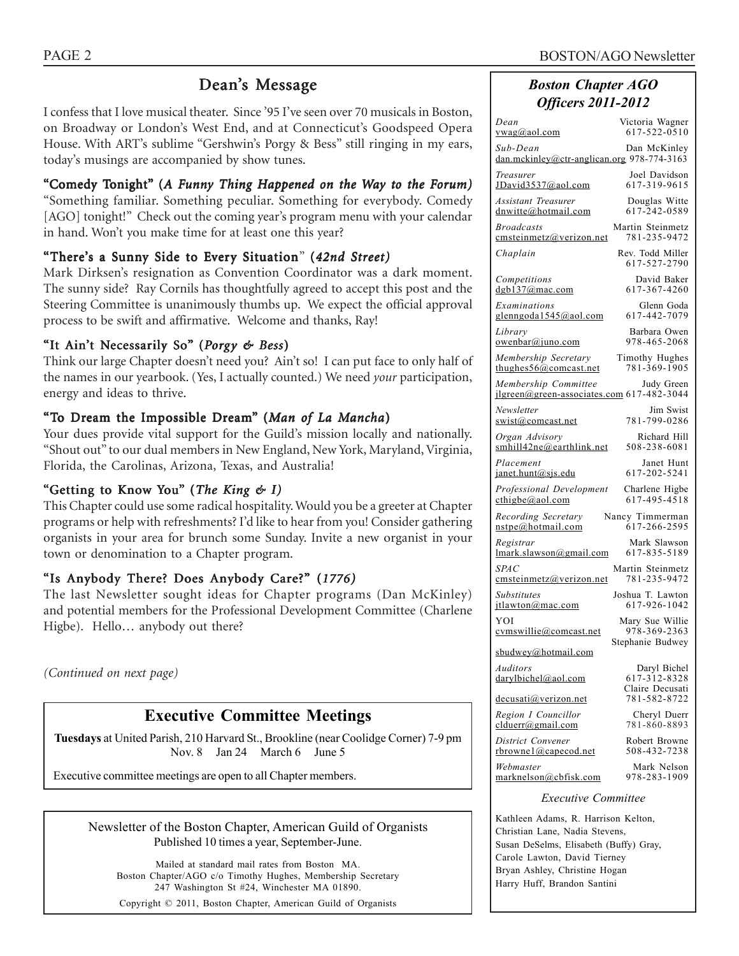# Dean's Message

I confess that I love musical theater. Since '95 I've seen over 70 musicals in Boston, on Broadway or London's West End, and at Connecticut's Goodspeed Opera House. With ART's sublime "Gershwin's Porgy & Bess" still ringing in my ears, today's musings are accompanied by show tunes.

# "Comedy Tonight" (A Funny Thing Happened on the Way to the Forum)

"Something familiar. Something peculiar. Something for everybody. Comedy [AGO] tonight!" Check out the coming year's program menu with your calendar in hand. Won't you make time for at least one this year?

# "There's a Sunny Side to Every Situation"(*42nd Street)*

Mark Dirksen's resignation as Convention Coordinator was a dark moment. The sunny side? Ray Cornils has thoughtfully agreed to accept this post and the Steering Committee is unanimously thumbs up. We expect the official approval process to be swift and affirmative. Welcome and thanks, Ray!

## "It Ain't Necessarily So" (*Porgy & Bess*)

Think our large Chapter doesn't need you? Ain't so! I can put face to only half of the names in our yearbook. (Yes, I actually counted.) We need *your* participation, energy and ideas to thrive.

## "To Dream the Impossible Dream" (Man of La Mancha)

Your dues provide vital support for the Guild's mission locally and nationally. "Shout out" to our dual members in New England, New York, Maryland, Virginia, Florida, the Carolinas, Arizona, Texas, and Australia!

## "Getting to Know You" (*The King & I)*

This Chapter could use some radical hospitality. Would you be a greeter at Chapter programs or help with refreshments? I'd like to hear from you! Consider gathering organists in your area for brunch some Sunday. Invite a new organist in your town or denomination to a Chapter program.

## "Is Anybody There? Does Anybody Care?" (*1776)*

The last Newsletter sought ideas for Chapter programs (Dan McKinley) and potential members for the Professional Development Committee (Charlene Higbe). Hello... anybody out there?

*(Continued on next page)*

# **Executive Committee Meetings**

**Tuesdays** at United Parish, 210 Harvard St., Brookline (near Coolidge Corner) 7-9 pm Nov. 8 Jan 24 March 6 June 5

Executive committee meetings are open to all Chapter members.

| Newsletter of the Boston Chapter, American Guild of Organists |
|---------------------------------------------------------------|
| Published 10 times a year, September-June.                    |

Mailed at standard mail rates from Boston MA. Boston Chapter/AGO c/o Timothy Hughes, Membership Secretary 247 Washington St #24, Winchester MA 01890.

Copyright © 2011, Boston Chapter, American Guild of Organists

# *Boston Chapter AGO Officers 2011-2012*

| Dean<br><u>vwag@aol.com</u>                                                  | Victoria Wagner<br>617-522-0510                 |
|------------------------------------------------------------------------------|-------------------------------------------------|
| Sub-Dean<br>dan.mckinley@ctr-anglican.org 978-774-3163                       | Dan McKinley                                    |
| Treasurer<br>JDavid3537@aol.com                                              | Joel Davidson<br>617-319-9615                   |
| Assistant Treasurer<br>dnwitte@hotmail.com                                   | Douglas Witte<br>617-242-0589                   |
| <b>Broadcasts</b><br>cmsteinmetz@verizon.net                                 | Martin Steinmetz<br>781-235-9472                |
| Chaplain                                                                     | Rev. Todd Miller<br>617-527-2790                |
| Competitions<br>$d$ gb137@mac.com                                            | David Baker<br>617-367-4260                     |
| Examinations<br>glenngoda1545@aol.com                                        | Glenn Goda<br>617-442-7079                      |
| Library<br><u>owenbar@juno.com</u>                                           | Barbara Owen<br>978-465-2068                    |
| Membership Secretary<br>thughes $56@$ comeast. net                           | Timothy Hughes<br>781-369-1905                  |
| Membership Committee Judy Green<br>jlgreen@green-associates.com 617-482-3044 |                                                 |
| Newsletter<br>swist@comcast.net                                              | Jim Swist<br>781-799-0286                       |
| Organ Advisory<br>smhill42ne@earthlink.net                                   | Richard Hill<br>508-238-6081                    |
| Placement<br>$j$ anet.hunt@sjs.edu                                           | Janet Hunt<br>617-202-5241                      |
| Professional Development<br>$\text{cthigbe}(a)$ aol.com                      | Charlene Higbe<br>617-495-4518                  |
| Recording Secretary<br>nstpe@hotmail.com                                     | Nancy Timmerman<br>617-266-2595                 |
| Registrar<br>lmark.slawson@gmail.com                                         | Mark Slawson<br>617-835-5189                    |
| <i>SPAC</i><br>emsteinmetz@verizon.net                                       | Martin Steinmetz<br>781-235-9472                |
| <b>Substitutes</b><br>itlawton@mac.com                                       | Joshua T. Lawton<br>617-926-1042                |
| YOI<br>cymswillie@comcast.net                                                | Mary Sue Willie<br>978-369-2363                 |
| sbudwey@hotmail.com                                                          | Stephanie Budwey                                |
| Auditors<br>darylbichel@aol.com                                              | Daryl Bichel<br>617-312-8328<br>Claire Decusati |
| decusati@verizon.net                                                         | 781-582-8722                                    |
| Region I Councillor<br>clduerr@gmail.com                                     | Cheryl Duerr<br>781-860-8893                    |
| District Convener<br><u>rbrownel</u> @capecod.net                            | Robert Browne<br>508-432-7238                   |
| Webmaster<br>marknelson@cbfisk.com                                           | Mark Nelson<br>978-283-1909                     |
| <i>Executive Committee</i>                                                   |                                                 |

Kathleen Adams, R. Harrison Kelton, Christian Lane, Nadia Stevens, Susan DeSelms, Elisabeth (Buffy) Gray, Carole Lawton, David Tierney Bryan Ashley, Christine Hogan Harry Huff, Brandon Santini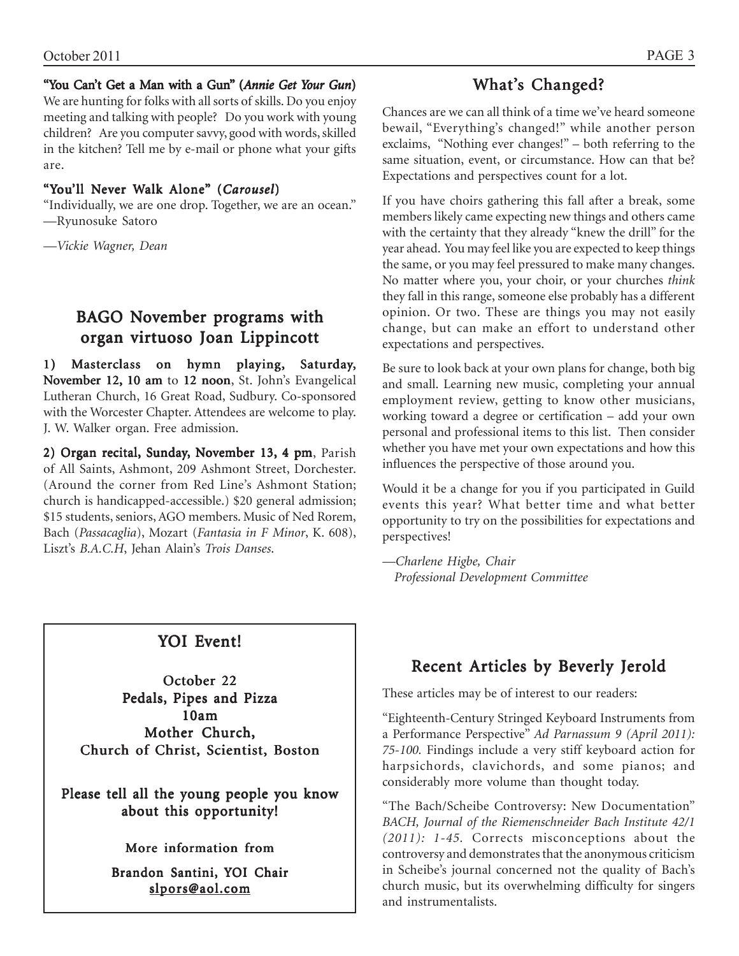## "You Can't Get a Man with a Gun" (*Annie Get Your Gun*)

We are hunting for folks with all sorts of skills. Do you enjoy meeting and talking with people? Do you work with young children? Are you computer savvy, good with words, skilled in the kitchen? Tell me by e-mail or phone what your gifts are.

## "You'll Never Walk Alone" (*Carousel*)

"Individually, we are one drop. Together, we are an ocean." —Ryunosuke Satoro

*—Vickie Wagner, Dean*

# BAGO November programs with organ virtuoso Joan Lippincott

1) Masterclass on hymn playing, Saturday, November 12, 10 am to 12 noon, St. John's Evangelical Lutheran Church, 16 Great Road, Sudbury. Co-sponsored with the Worcester Chapter. Attendees are welcome to play. J. W. Walker organ. Free admission.

2) Organ recital, Sunday, November 13, 4 pm, Parish of All Saints, Ashmont, 209 Ashmont Street, Dorchester. (Around the corner from Red Line's Ashmont Station; church is handicapped-accessible.) \$20 general admission; \$15 students, seniors, AGO members. Music of Ned Rorem, Bach (*Passacaglia*), Mozart (*Fantasia in F Minor*, K. 608), Liszt's *B.A.C.H*, Jehan Alain's *Trois Danses*.

# What's Changed?

Chances are we can all think of a time we've heard someone bewail, "Everything's changed!" while another person exclaims, "Nothing ever changes!" – both referring to the same situation, event, or circumstance. How can that be? Expectations and perspectives count for a lot.

If you have choirs gathering this fall after a break, some members likely came expecting new things and others came with the certainty that they already "knew the drill" for the year ahead. You may feel like you are expected to keep things the same, or you may feel pressured to make many changes. No matter where you, your choir, or your churches *think* they fall in this range, someone else probably has a different opinion. Or two. These are things you may not easily change, but can make an effort to understand other expectations and perspectives.

Be sure to look back at your own plans for change, both big and small. Learning new music, completing your annual employment review, getting to know other musicians, working toward a degree or certification – add your own personal and professional items to this list. Then consider whether you have met your own expectations and how this influences the perspective of those around you.

Would it be a change for you if you participated in Guild events this year? What better time and what better opportunity to try on the possibilities for expectations and perspectives!

*—Charlene Higbe, Chair Professional Development Committee*

# YOI Event!

October 22 Pedals, Pipes and Pizza 10am Mother Church, Church of Christ, Scientist, Boston

Please tell all the young people you know about this opportunity!

## More information from

Brandon Santini, YOI Chair slpors@aol.com

# Recent Articles by Beverly Jerold

These articles may be of interest to our readers:

"Eighteenth-Century Stringed Keyboard Instruments from a Performance Perspective" *Ad Parnassum 9 (April 2011): 75-100.* Findings include a very stiff keyboard action for harpsichords, clavichords, and some pianos; and considerably more volume than thought today.

"The Bach/Scheibe Controversy: New Documentation" *BACH, Journal of the Riemenschneider Bach Institute 42/1 (2011): 1-45.* Corrects misconceptions about the controversy and demonstrates that the anonymous criticism in Scheibe's journal concerned not the quality of Bach's church music, but its overwhelming difficulty for singers and instrumentalists.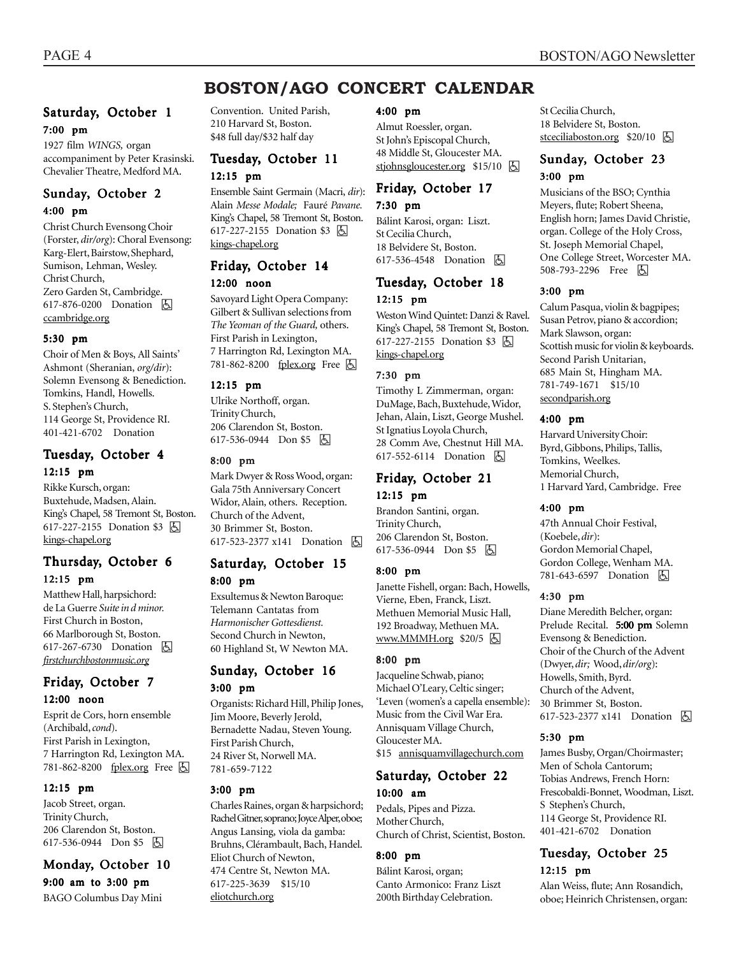# **BOSTON/AGO CONCERT CALENDAR**

### Saturday, October 1 7:00 pm

1927 film *WINGS,* organ accompaniment by Peter Krasinski. Chevalier Theatre, Medford MA.

### Sunday, October 2 4:00 pm

Christ Church Evensong Choir (Forster, *dir/org*): Choral Evensong: Karg-Elert, Bairstow, Shephard, Sumison, Lehman, Wesley. Christ Church, Zero Garden St, Cambridge. 617-876-0200 Donation **b** ccambridge.org

#### 5:30 pm

Choir of Men & Boys, All Saints' Ashmont (Sheranian, *org/dir*): Solemn Evensong & Benediction. Tomkins, Handl, Howells. S. Stephen's Church, 114 George St, Providence RI. 401-421-6702 Donation

#### Tuesday, October 4 12:15 pm

Rikke Kursch, organ: Buxtehude, Madsen, Alain. King's Chapel, 58 Tremont St, Boston. 617-227-2155 Donation \$3 因 kings-chapel.org

#### Thursday, October 6 12:15 pm

Matthew Hall, harpsichord: de La Guerre *Suite in d minor.* First Church in Boston, 66 Marlborough St, Boston. 617-267-6730 Donation **A** *firstchurchbostonmusic.org*

### Friday, October 7 12:00 noon

Esprit de Cors, horn ensemble (Archibald, *cond*). First Parish in Lexington, 7 Harrington Rd, Lexington MA. 781-862-8200 fplex.org Free 因

#### 12:15 pm

Jacob Street, organ. Trinity Church, 206 Clarendon St, Boston. 617-536-0944 Don \$5 h

# Monday, October 10

9:00 am to 3:00 pm BAGO Columbus Day Mini Convention. United Parish, 210 Harvard St, Boston. \$48 full day/\$32 half day

## Tuesday, October 11 12:15 pm

Ensemble Saint Germain (Macri, *dir*): Alain *Messe Modale;* Fauré *Pavane.* King's Chapel, 58 Tremont St, Boston. 617-227-2155 Donation \$3 **A** kings-chapel.org

# Friday, October 14

#### 12:00 noon

Savoyard Light Opera Company: Gilbert & Sullivan selections from *The Yeoman of the Guard,* others. First Parish in Lexington, 7 Harrington Rd, Lexington MA. 781-862-8200 fplex.org Free h

#### 12:15 pm

Ulrike Northoff, organ. Trinity Church, 206 Clarendon St, Boston. 617-536-0944 Don \$5 因

#### 8:00 pm

Mark Dwyer & Ross Wood, organ: Gala 75th Anniversary Concert Widor, Alain*,* others. Reception. Church of the Advent, 30 Brimmer St, Boston. 617-523-2377 x141 Donation **b** 

# Saturday, October 15 8:00 pm

Exsultemus & Newton Baroque: Telemann Cantatas from *Harmonischer Gottesdienst.* Second Church in Newton, 60 Highland St, W Newton MA.

# Sunday, October 16

3:00 pm

Organists: Richard Hill, Philip Jones, Jim Moore, Beverly Jerold, Bernadette Nadau, Steven Young. First Parish Church, 24 River St, Norwell MA. 781-659-7122

#### 3:00 pm

Charles Raines, organ & harpsichord; Rachel Gitner, soprano; Joyce Alper, oboe; Angus Lansing, viola da gamba: Bruhns, Clérambault, Bach, Handel. Eliot Church of Newton, 474 Centre St, Newton MA. 617-225-3639 \$15/10 eliotchurch.org

#### 4:00 pm

Almut Roessler, organ. St John's Episcopal Church, 48 Middle St, Gloucester MA. stjohnsgloucester.org  $$15/10$   $\Box$ 

# Friday, October 17

#### 7:30 pm

Bálint Karosi, organ: Liszt. St Cecilia Church, 18 Belvidere St, Boston. 617-536-4548 Donation **A** 

#### Tuesday, October 18 12:15 pm

Weston Wind Quintet: Danzi & Ravel. King's Chapel, 58 Tremont St, Boston. 617-227-2155 Donation \$3 因 kings-chapel.org

#### 7:30 pm

Timothy L Zimmerman, organ: DuMage, Bach, Buxtehude, Widor, Jehan, Alain, Liszt, George Mushel. St Ignatius Loyola Church, 28 Comm Ave, Chestnut Hill MA. 617-552-6114 Donation **b** 

## Friday, October 21 12:15 pm

Brandon Santini, organ. Trinity Church, 206 Clarendon St, Boston. 617-536-0944 Don \$5 &

#### 8:00 pm

Janette Fishell, organ: Bach, Howells, Vierne, Eben, Franck, Liszt. Methuen Memorial Music Hall, 192 Broadway, Methuen MA. www.MMMH.org  $$20/5$   $\Box$ 

#### 8:00 pm

Jacqueline Schwab, piano; Michael O'Leary, Celtic singer; 'Leven (women's a capella ensemble): Music from the Civil War Era. Annisquam Village Church, Gloucester MA. \$15 annisquamvillagechurch.com

## Saturday, October 22 10:00 am

Pedals, Pipes and Pizza. Mother Church, Church of Christ, Scientist, Boston.

#### 8:00 pm

Bálint Karosi, organ; Canto Armonico: Franz Liszt 200th Birthday Celebration.

St Cecilia Church, 18 Belvidere St, Boston. stceciliaboston.org  $$20/10$   $\Box$ 

### Sunday, October 23 3:00 pm

Musicians of the BSO; Cynthia Meyers, flute; Robert Sheena, English horn; James David Christie, organ. College of the Holy Cross, St. Joseph Memorial Chapel, One College Street, Worcester MA. 508-793-2296 Free 因

#### 3:00 pm

Calum Pasqua, violin & bagpipes; Susan Petrov, piano & accordion; Mark Slawson, organ: Scottish music for violin & keyboards. Second Parish Unitarian, 685 Main St, Hingham MA. 781-749-1671 \$15/10 secondparish.org

#### 4:00 pm

Harvard University Choir: Byrd, Gibbons, Philips, Tallis, Tomkins, Weelkes. Memorial Church, 1 Harvard Yard, Cambridge. Free

#### 4:00 pm

47th Annual Choir Festival, (Koebele, *dir*): Gordon Memorial Chapel, Gordon College, Wenham MA. 781-643-6597 Donation  $\boxed{6}$ 

#### 4:30 pm

Diane Meredith Belcher, organ: Prelude Recital. 5:00 pm Solemn Evensong & Benediction. Choir of the Church of the Advent (Dwyer, *dir;* Wood, *dir/org*): Howells, Smith, Byrd. Church of the Advent, 30 Brimmer St, Boston. 617-523-2377 x141 Donation h

#### 5:30 pm

James Busby, Organ/Choirmaster; Men of Schola Cantorum; Tobias Andrews, French Horn: Frescobaldi-Bonnet, Woodman, Liszt. S Stephen's Church, 114 George St, Providence RI. 401-421-6702 Donation

## Tuesday, October 25 12:15 pm

Alan Weiss, flute; Ann Rosandich, oboe; Heinrich Christensen, organ: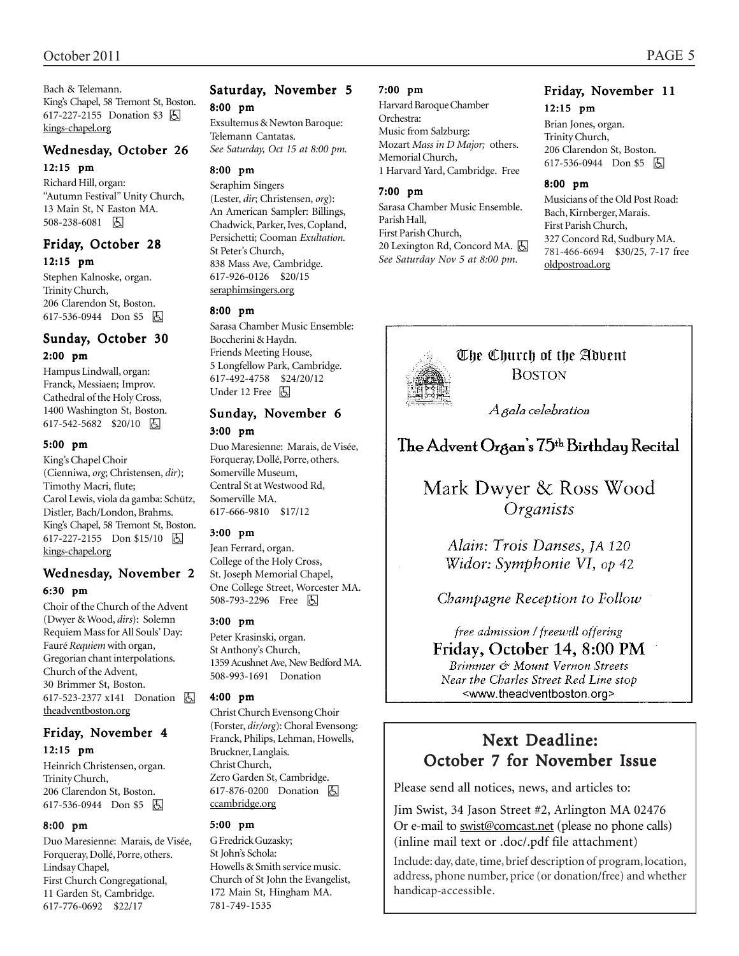Bach & Telemann. King's Chapel, 58 Tremont St, Boston. 617-227-2155 Donation \$3 因 kings-chapel.org

#### Wednesday, October 26

#### 12:15 pm

Richard Hill, organ: "Autumn Festival" Unity Church, 13 Main St, N Easton MA. 508-238-6081 因

#### Friday, October 28 12:15 pm

Stephen Kalnoske, organ. Trinity Church, 206 Clarendon St, Boston. 617-536-0944 Don \$5 因

#### Sunday, October 30 2:00 pm

Hampus Lindwall, organ: Franck, Messiaen; Improv. Cathedral of the Holy Cross, 1400 Washington St, Boston. 617-542-5682 \$20/10 6

#### 5:00 pm

King's Chapel Choir (Cienniwa, *org*; Christensen, *dir*); Timothy Macri, flute; Carol Lewis, viola da gamba: Schütz, Distler*,* Bach/London, Brahms. King's Chapel, 58 Tremont St, Boston. 617-227-2155 Don \$15/10 | A kings-chapel.org

#### Wednesday, November 2 6:30 pm

Choir of the Church of the Advent (Dwyer & Wood, *dirs*): Solemn Requiem Mass for All Souls' Day: Fauré *Requiem* with organ, Gregorian chant interpolations. Church of the Advent, 30 Brimmer St, Boston. 617-523-2377 x141 Donation **b** theadventboston.org

#### Friday, November 4 12:15 pm

Heinrich Christensen, organ. Trinity Church, 206 Clarendon St, Boston. 617-536-0944 Don \$5 因

#### 8:00 pm

Duo Maresienne: Marais, de Visée, Forqueray, Dollé, Porre, others. Lindsay Chapel, First Church Congregational, 11 Garden St, Cambridge. 617-776-0692 \$22/17

#### Saturday, November 5 8:00 pm

Exsultemus & Newton Baroque: Telemann Cantatas. *See Saturday, Oct 15 at 8:00 pm.*

# 8:00 pm

Seraphim Singers (Lester, *dir*; Christensen, *org*): An American Sampler: Billings, Chadwick, Parker, Ives, Copland, Persichetti; Cooman *Exultation.* St Peter's Church, 838 Mass Ave, Cambridge. 617-926-0126 \$20/15 seraphimsingers.org

#### 8:00 pm

Sarasa Chamber Music Ensemble: Boccherini & Haydn. Friends Meeting House, 5 Longfellow Park, Cambridge. 617-492-4758 \$24/20/12 Under 12 Free 因

#### Sunday, November 6 3:00 pm

Duo Maresienne: Marais, de Visée, Forqueray, Dollé, Porre, others. Somerville Museum, Central St at Westwood Rd, Somerville MA. 617-666-9810 \$17/12

#### 3:00 pm

Jean Ferrard, organ. College of the Holy Cross, St. Joseph Memorial Chapel, One College Street, Worcester MA. 508-793-2296 Free 因

#### 3:00 pm

Peter Krasinski, organ. St Anthony's Church, 1359 Acushnet Ave, New Bedford MA. 508-993-1691 Donation

#### 4:00 pm

Christ Church Evensong Choir (Forster, *dir/org*): Choral Evensong: Franck, Philips, Lehman, Howells, Bruckner, Langlais. Christ Church, Zero Garden St, Cambridge. 617-876-0200 Donation **b** ccambridge.org

#### 5:00 pm

G Fredrick Guzasky; St John's Schola: Howells & Smith service music. Church of St John the Evangelist, 172 Main St, Hingham MA. 781-749-1535

#### 7:00 pm

Harvard Baroque Chamber Orchestra: Music from Salzburg: Mozart *Mass in D Major;* others. Memorial Church, 1 Harvard Yard, Cambridge. Free

#### 7:00 pm

Sarasa Chamber Music Ensemble. Parish Hall, First Parish Church, 20 Lexington Rd, Concord MA. **A** *See Saturday Nov 5 at 8:00 pm.*

#### Friday, November 11 12:15 pm

Brian Jones, organ. Trinity Church, 206 Clarendon St, Boston. 617-536-0944 Don \$5 | A

#### 8:00 pm

Musicians of the Old Post Road: Bach, Kirnberger, Marais. First Parish Church, 327 Concord Rd, Sudbury MA. 781-466-6694 \$30/25, 7-17 free oldpostroad.org



The Church of the Advent **BOSTON** 

A gala celebration

# The Advent Organ's 75<sup>th</sup> Birthday Recital

# Mark Dwyer & Ross Wood Organists

Alain: Trois Danses, JA 120 Widor: Symphonie VI, op 42

## Champagne Reception to Follow

free admission / freewill offering Friday, October 14, 8:00 PM Brimmer & Mount Vernon Streets

Near the Charles Street Red Line stop <www.theadventboston.org>

# Next Deadline: October 7 for November Issue

Please send all notices, news, and articles to:

Jim Swist, 34 Jason Street #2, Arlington MA 02476 Or e-mail to swist@comcast.net (please no phone calls) (inline mail text or .doc/.pdf file attachment)

Include: day, date, time, brief description of program, location, address, phone number, price (or donation/free) and whether handicap-accessible.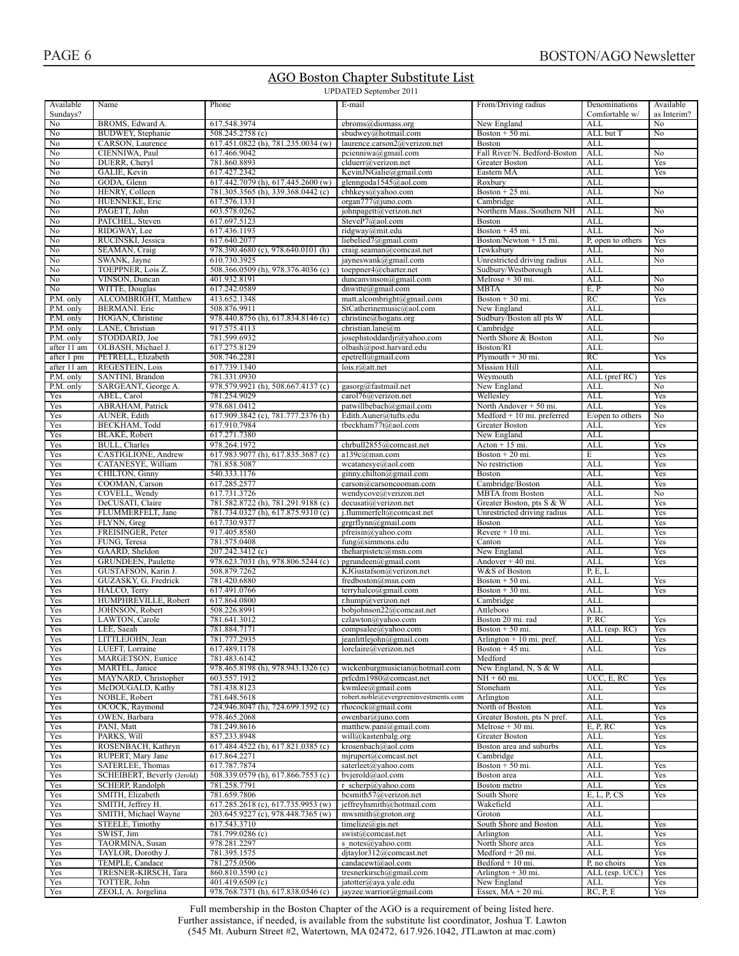### AGO Boston Chapter Substitute List

UPDATED September 2011

|                |                                      |                                    | $\sigma$ Drillion september 2011               |                                                |                          |             |
|----------------|--------------------------------------|------------------------------------|------------------------------------------------|------------------------------------------------|--------------------------|-------------|
| Available      | Name                                 | Phone                              | E-mail                                         | From/Driving radius                            | Denominations            | Available   |
| Sundays?       |                                      |                                    |                                                |                                                | Comfortable w/           | as Interim? |
| No             | BROMS, Edward A.                     | 617.548.3974                       | ebroms@diomass.org                             | New England                                    | <b>ALL</b>               | No          |
| No             | BUDWEY, Stephanie                    | 508.245.2758 (c)                   | sbudwey@hotmail.com                            | Boston $+50$ mi.                               | ALL but T                | No          |
| No             | CARSON, Laurence                     | 617.451.0822 (h), 781.235.0034 (w) | laurence.carson2@verizon.net                   | <b>Boston</b>                                  | ALL                      |             |
| No<br>No       | CIENNIWA, Paul<br>DUERR, Cheryl      | 617.466.9042<br>781.860.8893       | pcienniwa@gmail.com<br>clduerr@verizon.net     | Fall River/N. Bedford-Boston<br>Greater Boston | <b>ALL</b><br><b>ALL</b> | No<br>Yes   |
| No             | GALIE, Kevin                         | 617.427.2342                       | KevinJNGalie@gmail.com                         | Eastern MA                                     | ALL                      | Yes         |
| No             | GODA, Glenn                          | 617.442.7079 (h), 617.445.2600 (w) | glenngoda1545@aol.com                          | Roxbury                                        | <b>ALL</b>               |             |
| No             | HENRY, Colleen                       | 781.305.3565 (h), 339.368.0442 (c) | cbhkeys@yahoo.com                              | Boston $+25$ mi.                               | <b>ALL</b>               | No          |
| No             | HUENNEKE, Eric                       | 617.576.1331                       | organ777@juno.com                              | Cambridge                                      | ALL                      |             |
| No             | PAGETT, John                         | 603.578.0262                       | johnpagett@verizon.net                         | Northern Mass./Southern NH                     | <b>ALL</b>               | No          |
| No             | PATCHEL, Steven                      | 617.697.5123                       | SteveP7@aol.com                                | <b>Boston</b>                                  | ALL                      |             |
| No             | RIDGWAY, Lee                         | 617.436.1193                       | ridgway@mit.edu                                | Boston + 45 mi.                                | <b>ALL</b>               | No          |
| No             | RUCINSKI, Jessica                    | 617.640.2077                       | liebelied7@gmail.com                           | Boston/Newton + 15 mi.                         | P, open to others        | Yes         |
| No             | SEAMAN, Craig                        | 978.390.4680 (c), 978.640.0101 (h) | craig.seaman@comcast.net                       | Tewksbury                                      | ALL                      | No          |
| No             | SWANK, Jayne                         | 610.730.3925                       | jayneswank@gmail.com                           | Unrestricted driving radius                    | ALL                      | No          |
| No             | TOEPPNER, Lois Z.                    | 508.366.0509 (h), 978.376.4036 (c) | toeppner4@charter.net                          | Sudbury/Westborough                            | <b>ALL</b>               |             |
| No             | VINSON, Duncan                       | 401.932.8191                       | duncanvinson@gmail.com                         | Melrose + 30 mi.                               | <b>ALL</b>               | No          |
| N <sub>o</sub> | WITTE, Douglas                       | 617.242.0589                       | $d$ nwitte@gmail.com                           | <b>MBTA</b>                                    | E, P                     | No          |
| P.M. only      | ALCOMBRIGHT, Matthew                 | 413.652.1348                       | matt.alcombright@gmail.com                     | Boston $+30$ mi.                               | RC                       | Yes         |
| P.M. only      | <b>BERMANI</b> . Eric                | 508.876.9911                       | StCatherinemusic@aol.com                       | New England                                    | <b>ALL</b>               |             |
| P.M. only      | HOGAN, Christine                     | 978.440.8756 (h), 617.834.8146 (c) | christine@hogans.org                           | Sudbury/Boston all pts W                       | <b>ALL</b>               |             |
| P.M. only      | LANE, Christian                      | 917.575.4113                       | christian.lane@m                               | Cambridge                                      | ALL                      |             |
| P.M. only      | STODDARD, Joe                        | 781.599.6932                       | josephstoddardjr@yahoo.com                     | North Shore & Boston                           | <b>ALL</b>               | No          |
| after 11 am    | OLBASH, Michael J.                   | 617.275.8129                       | olbash@post.harvard.edu                        | Boston/RI                                      | <b>ALL</b>               |             |
| after 1 pm     | PETRELL, Elizabeth                   | 508.746.2281                       | epetrell@gmail.com                             | Plymouth $+30$ mi.                             | RC                       | Yes         |
| after 11 am    | <b>REGESTEIN, Lois</b>               | 617.739.1340                       | lois.r@attnet                                  | <b>Mission Hill</b>                            | <b>ALL</b>               |             |
| P.M. only      | SANTINI, Brandon                     | 781.331.0930                       |                                                | Weymouth                                       | ALL (pref RC)            | Yes         |
| P.M. only      | SARGEANT, George A.                  | 978.579.9921 (h), 508.667.4137 (c) | gasorg@fastmail.net                            | New England                                    | <b>ALL</b>               | No          |
| Yes            | ABEL, Carol                          | 781.254.9029                       | carol76@verizon.net                            | Wellesley                                      | <b>ALL</b>               | Yes         |
| Yes            | ABRAHAM, Patrick                     | 978.681.0412                       | patwillbebach@gmail.com                        | North Andover + 50 mi.                         | <b>ALL</b>               | Yes         |
| Yes            | AUNER, Edith                         | 617.909.3842 (c), 781.777.2376 (h) | Edith.Auner@tufts.edu                          | $Medford + 10 mi.$ preferred                   | E/open to others         | No          |
| Yes            | BECKHAM, Todd                        | 617.910.7984                       | tbeckham77t@aol.com                            | Greater Boston                                 | <b>ALL</b>               | Yes         |
| Yes            | BLAKE, Robert                        | 617.271.7380                       |                                                | New England                                    | <b>ALL</b>               |             |
| Yes            | BULL, Charles                        | 978.264.1972                       | chrbull2855@comcast.net                        | $Action + 15 mi.$                              | <b>ALL</b>               | Yes         |
| Yes            | CASTIGLIONE, Andrew                  | 617.983.9077 (h), 617.835.3687 (c) | a139c@msn.com                                  | Boston + 20 mi.                                | E                        | Yes         |
| Yes            | CATANESYE, William                   | 781.858.5087                       | wcatanesye@aol.com                             | No restriction                                 | <b>ALL</b>               | Yes         |
| Yes            | CHILTON, Ginny                       | 540.333.1176                       | ginny.chilton@gmail.com                        | <b>Boston</b>                                  | <b>ALL</b>               | Yes         |
| Yes            | COOMAN, Carson                       | 617.285.2577                       | carson@carsoncooman.com                        | Cambridge/Boston                               | <b>ALL</b>               | Yes         |
| Yes            | COVELL, Wendy                        | 617.731.3726                       | wendycove@verizon.net                          | <b>MBTA</b> from Boston                        | <b>ALL</b>               | No          |
| Yes            | DeCUSATI, Claire                     | 781.582.8722 (h), 781.291.9188 (c) | decusati@verizon.net                           | Greater Boston, pts S & W                      | <b>ALL</b>               | Yes         |
| Yes            | FLUMMERFELT, Jane                    | 781.734.0327 (h), 617.875.9310 (c) | j.flummerfelt@comcast.net                      | Unrestricted driving radius                    | ALL                      | Yes         |
| Yes            | FLYNN, Greg                          | 617.730.9377                       | grgrflynn@gmail.com                            | Boston                                         | <b>ALL</b>               | Yes         |
| Yes            | FREISINGER, Peter                    | 917.405.8580                       | pfreisin@yahoo.com                             | Revere + 10 mi.                                | <b>ALL</b>               | Yes         |
| Yes            | FUNG, Teresa                         | 781.575.0408                       | fung@simmons.edu                               | Canton                                         | ALL                      | Yes         |
| Yes            | GAARD, Sheldon                       | 207.242.3412 (c)                   | theharpistetc@msn.com                          | New England                                    | <b>ALL</b>               | Yes         |
| Yes            | <b>GRUNDEEN, Paulette</b>            | 978.623.7031 (h), 978.806.5244 (c) | pgrundeen@gmail.com                            | Andover + 40 mi.                               | <b>ALL</b>               | Yes         |
| Yes            | GUSTAFSON, Karin J.                  | 508.879.7262                       | KJGustafson@verizon.net                        | W&S of Boston                                  | P, E, L<br><b>ALL</b>    | Yes         |
| Yes            | GUZASKY, G. Fredrick<br>HALCO, Terry | 781.420.6880                       | fredboston@msn.com                             | Boston + 50 mi.                                |                          |             |
| Yes<br>Yes     | HUMPHREVILLE, Robert                 | 617.491.0766<br>617.864.0800       | terryhalco@gmail.com<br>r.hump@verizon.net     | Boston $+30$ mi.<br>Cambridge                  | ALL<br>ALL               | Yes         |
| Yes            | JOHNSON, Robert                      | 508.226.8991                       |                                                | Attleboro                                      | <b>ALL</b>               |             |
| Yes            | LAWTON, Carole                       | 781.641.3012                       | bobjohnson22@comcast.net<br>czlawton@yahoo.com | Boston 20 mi. rad                              | P, RC                    | Yes         |
| Yes            | LEE, Saeah                           | 781.884.7171                       | compsalee@yahoo.com                            | Boston $+50$ mi.                               | ALL (esp. RC)            | Yes         |
| Yes            | LITTLEJOHN, Jean                     | 781.777.2935                       | jeanlittlejohn@gmail.com                       | Arlington $+10$ mi. pref.                      | ALL                      | Yes         |
| Yes            | LUEFT, Lorraine                      | 617.489.1178                       | lorclaire@verizon.net                          | Boston $+45$ mi.                               | <b>ALL</b>               | Yes         |
| Yes            | MARGETSON, Eunice                    | 781.483.6142                       |                                                | Medford                                        |                          |             |
| Yes            | MARTEL, Janice                       | 978.465.8198 (h), 978.943.1326 (c) | wickenburgmusician@hotmail.com                 | New England, N, S & W                          | ALL                      |             |
| Yes            | MAYNARD, Christopher                 | 603.557.1912                       | prfcdm1980@comcast.net                         | $NH + 60$ mi.                                  | UCC, E, RC               | Yes         |
| Yes            | McDOUGALD, Kathy                     | 781.438.8123                       | kwmlee@gmail.com                               | Stoneham                                       | ALL                      | Yes         |
| Yes            | NOBLE, Robert                        | 781.648.5618                       | robert.noble@evergreeninvestments.com          | Arlington                                      | ALL                      |             |
| Yes            | OCOCK, Raymond                       | 724.946.8047 (h), 724.699.1592 (c) | rhocock@gmail.com                              | North of Boston                                | <b>ALL</b>               | Yes         |
| Yes            | OWEN, Barbara                        | 978.465.2068                       | owenbar@iuno.com                               | Greater Boston, pts N pref.                    | ALL                      | Yes         |
| Yes            | PANI, Matt                           | 781.249.8616                       | matthew.pani@gmail.com                         | Melrose + 30 mi.                               | E, P, RC                 | Yes         |
| Yes            | PARKS, Will                          | 857.233.8948                       | will@kastenbalg.org                            | <b>Greater Boston</b>                          | <b>ALL</b>               | Yes         |
| Yes            | ROSENBACH, Kathryn                   | 617.484.4522 (h), 617.821.0385 (c) | krosenbach@aol.com                             | Boston area and suburbs                        | <b>ALL</b>               | Yes         |
| Yes            | RUPERT, Mary Jane                    | 617.864.2271                       | mjrupert@comcast.net                           | Cambridge                                      | ALL                      |             |
| Yes            | SATERLEE, Thomas                     | 617.787.7874                       | saterleet@yahoo.com                            | Boston $+50$ mi.                               | ALL                      | Yes         |
| Yes            | SCHEIBERT, Beverly (Jerold)          | 508.339.0579 (h), 617.866.7553 (c) | bvjerold@aol.com                               | Boston area                                    | ALL                      | Yes         |
| Yes            | SCHERP, Randolph                     | 781.258.7791                       | r scherp@yahoo.com                             | Boston metro                                   | ALL                      | Yes         |
| Yes            | SMITH, Elizabeth                     | 781.659.7806                       | bcsmith57@verizon.net                          | South Shore                                    | E, L, P, CS              | Yes         |
| Yes            | SMITH, Jeffrey H.                    | 617.285.2618 (c), 617.735.9953 (w) | jeffreyhsmith@hotmail.com                      | Wakefield                                      | ALL                      |             |
| Yes            | SMITH, Michael Wayne                 | 203.645.9227 (c), 978.448.7365 (w) | $m$ wsmith@groton.org                          | Groton                                         | ALL                      |             |
| Yes            | STEELE, Timothy                      | 617.543.3710                       | timelize@gis.net                               | South Shore and Boston                         | ALL                      | Yes         |
| Yes            | SWIST, Jim                           | 781.799.0286 (c)                   | swist@comcast.net                              | Arlington                                      | ALL                      | Yes         |
| Yes            | TAORMINA, Susan                      | 978.281.2297                       | s notes@yahoo.com                              | North Shore area                               | ALL                      | Yes         |
| Yes            | TAYLOR, Dorothy J.                   | 781.395.1575                       | djtaylor312@comcast.net                        | $Medford + 20 mi.$                             | ALL                      | Yes         |
| Yes            | TEMPLE, Candace                      | 781.275.0506                       | candacewt@aol.com                              | Bedford + 10 mi.                               | P, no choirs             | Yes         |
| Yes            | TRESNER-KIRSCH, Tara                 | 860.810.3590 (c)                   | tresnerkirsch@gmail.com                        | Arlington $+30$ mi.                            | ALL (esp. UCC)           | Yes         |
| Yes            | TOTTER, John                         | 401.419.6509 (c)                   | jatotter@aya.yale.edu                          | New England                                    | ALL                      | Yes         |
| Yes            | ZEOLI, A. Jorgelina                  | 978.768.7371 (h), 617.838.0546 (c) | jayzee.warrior@gmail.com                       | Essex, $MA + 20$ mi.                           | RC, P, E                 | Yes         |

Full membership in the Boston Chapter of the AGO is a requirement of being listed here. Further assistance, if needed, is available from the substitute list coordinator, Joshua T. Lawton (545 Mt. Auburn Street #2, Watertown, MA 02472, 617.926.1042, JTLawton at mac.com)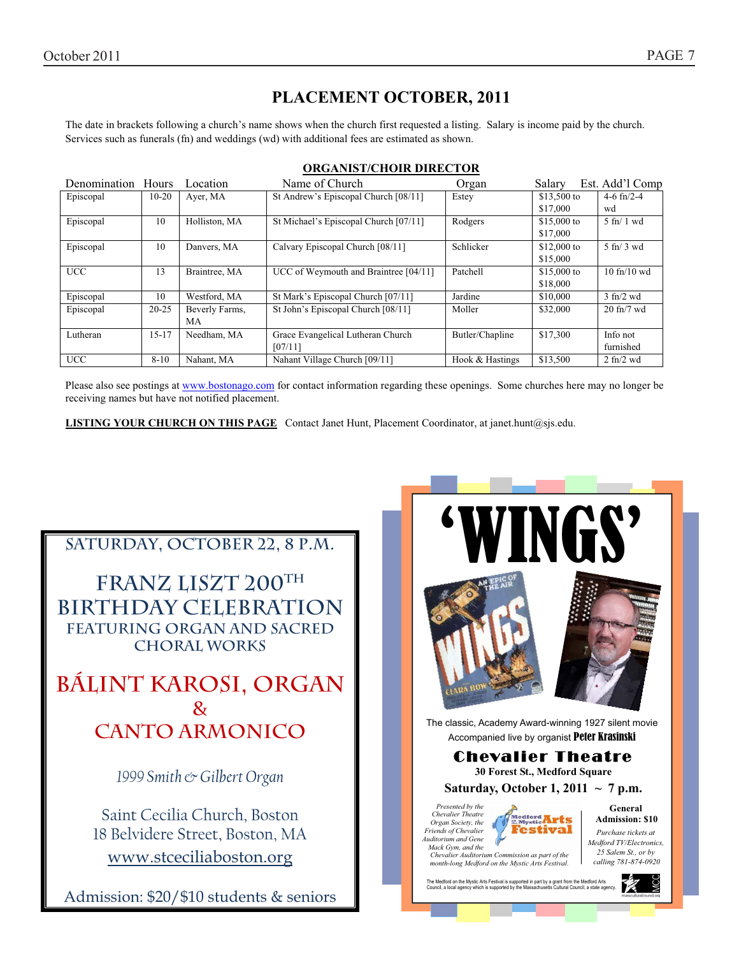# **PLACEMENT OCTOBER, 2011**

The date in brackets following a church's name shows when the church first requested a listing. Salary is income paid by the church. Services such as funerals (fn) and weddings (wd) with additional fees are estimated as shown.

| Denomination Hours |                     | Location       | Name of Church                        | Organ           | Salary       | Est. Add'l Comp                 |
|--------------------|---------------------|----------------|---------------------------------------|-----------------|--------------|---------------------------------|
| Episcopal          | $10-20$<br>Ayer, MA |                | St Andrew's Episcopal Church [08/11]  | Estey           | $$13,500$ to | 4-6 $fn/2-4$                    |
|                    |                     |                |                                       |                 | \$17,000     | wd                              |
| Episcopal          | 10                  | Holliston, MA  | St Michael's Episcopal Church [07/11] | Rodgers         | \$15,000 to  | $5 \text{ ft} / 1 \text{ wd}$   |
|                    |                     |                |                                       |                 | \$17,000     |                                 |
| Episcopal          | 10                  | Danvers, MA    | Calvary Episcopal Church [08/11]      | Schlicker       | $$12,000$ to | $5 \text{ ft}$ 3 wd             |
|                    |                     |                |                                       |                 | \$15,000     |                                 |
| <b>UCC</b>         | 13                  | Braintree, MA  | UCC of Weymouth and Braintree [04/11] | Patchell        | $$15,000$ to | $10$ fn/ $10$ wd                |
|                    |                     |                |                                       |                 | \$18,000     |                                 |
| Episcopal          | 10                  | Westford, MA   | St Mark's Episcopal Church [07/11]    | Jardine         | \$10,000     | $3$ fn/2 wd                     |
| Episcopal          | $20 - 25$           | Beverly Farms, | St John's Episcopal Church [08/11]    | Moller          | \$32,000     | $20$ fn/7 wd                    |
|                    |                     | MA             |                                       |                 |              |                                 |
| Lutheran           | $15 - 17$           | Needham, MA    | Grace Evangelical Lutheran Church     | Butler/Chapline | \$17,300     | Info not                        |
|                    |                     |                | [07/11]                               |                 |              | furnished                       |
| <b>UCC</b>         | $8 - 10$            | Nahant, MA     | Nahant Village Church [09/11]         | Hook & Hastings | \$13,500     | $2 \text{ ft}$ / $2 \text{ wd}$ |

#### **ORGANIST/CHOIR DIRECTOR**

Please also see postings at www.bostonago.com for contact information regarding these openings. Some churches here may no longer be receiving names but have not notified placement.

**LISTING YOUR CHURCH ON THIS PAGE** Contact Janet Hunt, Placement Coordinator, at janet.hunt@sjs.edu.

# SATURDAY, OCTOBER 22, 8 P.M.

**Franz Liszt 200th Birthday Celebration Featuring organ and sacred choral works** 

**Bálint Karosi, organ & Canto Armonico** 

*1999 Smith & Gilbert Organ* 

Saint Cecilia Church, Boston 18 Belvidere Street, Boston, MA www.stceciliaboston.org

Admission: \$20/\$10 students & seniors